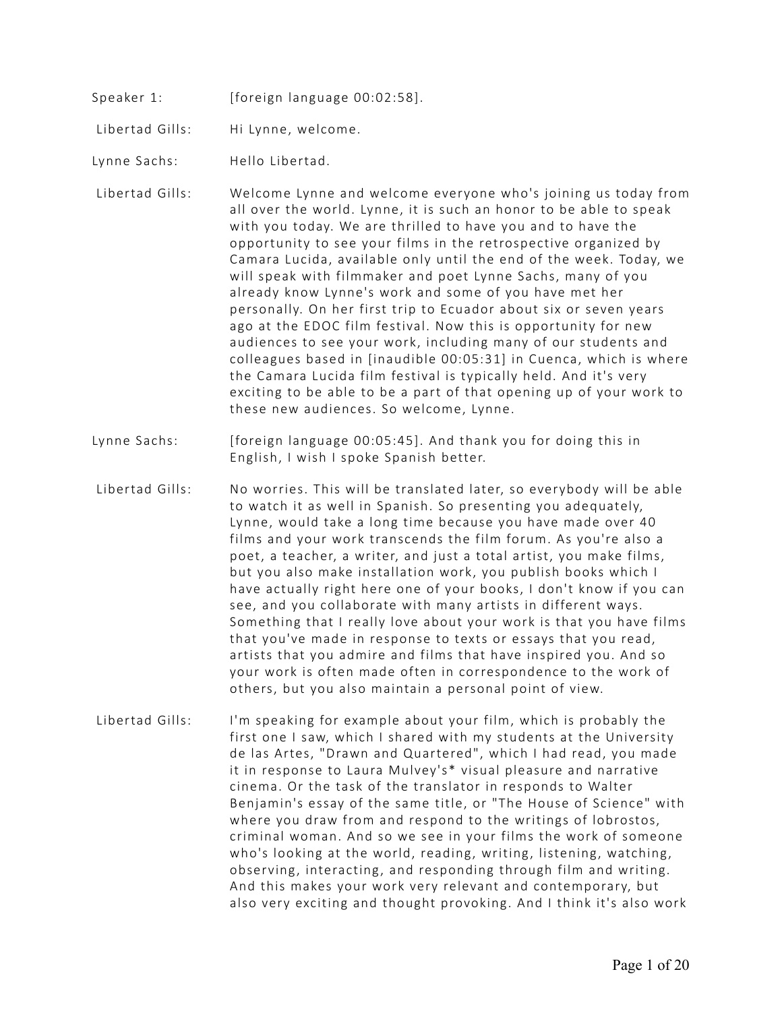- Speaker 1: [foreign language 00:02:58].
- Libertad Gills: Hi Lynne, welcome.
- Lynne Sachs: Hello Libertad.
- Libertad Gills: Welcome Lynne and welcome everyone who's joining us today from all over the world. Lynne, it is such an honor to be able to speak with you today. We are thrilled to have you and to have the opportunity to see your films in the retrospective organized by Camara Lucida, available only until the end of the week. Today, we will speak with filmmaker and poet Lynne Sachs, many of you already know Lynne's work and some of you have met her personally. On her first trip to Ecuador about six or seven years ago at the EDOC film festival. Now this is opportunity for new audiences to see your work, including many of our students and colleagues based in [inaudible 00:05:31] in Cuenca, which is where the Camara Lucida film festival is typically held. And it's very exciting to be able to be a part of that opening up of your work to these new audiences. So welcome, Lynne.
- Lynne Sachs: [foreign language 00:05:45]. And thank you for doing this in English, I wish I spoke Spanish better.
- Libertad Gills: No worries. This will be translated later, so everybody will be able to watch it as well in Spanish. So presenting you adequately, Lynne, would take a long time because you have made over 40 films and your work transcends the film forum. As you're also a poet, a teacher, a writer, and just a total artist, you make films, but you also make installation work, you publish books which I have actually right here one of your books, I don't know if you can see, and you collaborate with many artists in different ways. Something that I really love about your work is that you have films that you've made in response to texts or essays that you read, artists that you admire and films that have inspired you. And so your work is often made often in correspondence to the work of others, but you also maintain a personal point of view.
- Libertad Gills: I'm speaking for example about your film, which is probably the first one I saw, which I shared with my students at the University de las Artes, "Drawn and Quartered", which I had read, you made it in response to Laura Mulvey's\* visual pleasure and narrative cinema. Or the task of the translator in responds to Walter Benjamin's essay of the same title, or "The House of Science" with where you draw from and respond to the writings of lobrostos, criminal woman. And so we see in your films the work of someone who's looking at the world, reading, writing, listening, watching, observing, interacting, and responding through film and writing. And this makes your work very relevant and contemporary, but also very exciting and thought provoking. And I think it's also work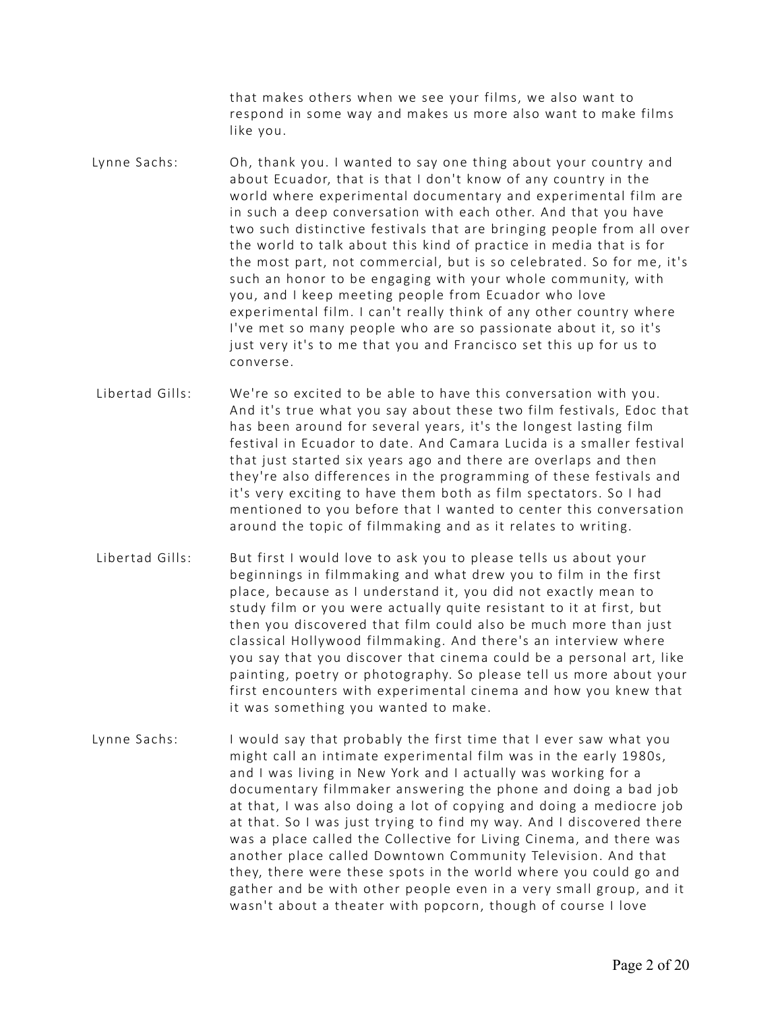that makes others when we see your films, we also want to respond in some way and makes us more also want to make films like you.

- Lynne Sachs: Oh, thank you. I wanted to say one thing about your country and about Ecuador, that is that I don't know of any country in the world where experimental documentary and experimental film are in such a deep conversation with each other. And that you have two such distinctive festivals that are bringing people from all over the world to talk about this kind of practice in media that is for the most part, not commercial, but is so celebrated. So for me, it's such an honor to be engaging with your whole community, with you, and I keep meeting people from Ecuador who love experimental film. I can't really think of any other country where I've met so many people who are so passionate about it, so it's just very it's to me that you and Francisco set this up for us to converse.
- Libertad Gills: We're so excited to be able to have this conversation with you. And it's true what you say about these two film festivals, Edoc that has been around for several years, it's the longest lasting film festival in Ecuador to date. And Camara Lucida is a smaller festival that just started six years ago and there are overlaps and then they're also differences in the programming of these festivals and it's very exciting to have them both as film spectators. So I had mentioned to you before that I wanted to center this conversation around the topic of filmmaking and as it relates to writing.
- Libertad Gills: But first I would love to ask you to please tells us about your beginnings in filmmaking and what drew you to film in the first place, because as I understand it, you did not exactly mean to study film or you were actually quite resistant to it at first, but then you discovered that film could also be much more than just classical Hollywood filmmaking. And there's an interview where you say that you discover that cinema could be a personal art, like painting, poetry or photography. So please tell us more about your first encounters with experimental cinema and how you knew that it was something you wanted to make.
- Lynne Sachs: I would say that probably the first time that I ever saw what you might call an intimate experimental film was in the early 1980s, and I was living in New York and I actually was working for a documentary filmmaker answering the phone and doing a bad job at that, I was also doing a lot of copying and doing a mediocre job at that. So I was just trying to find my way. And I discovered there was a place called the Collective for Living Cinema, and there was another place called Downtown Community Television. And that they, there were these spots in the world where you could go and gather and be with other people even in a very small group, and it wasn't about a theater with popcorn, though of course I love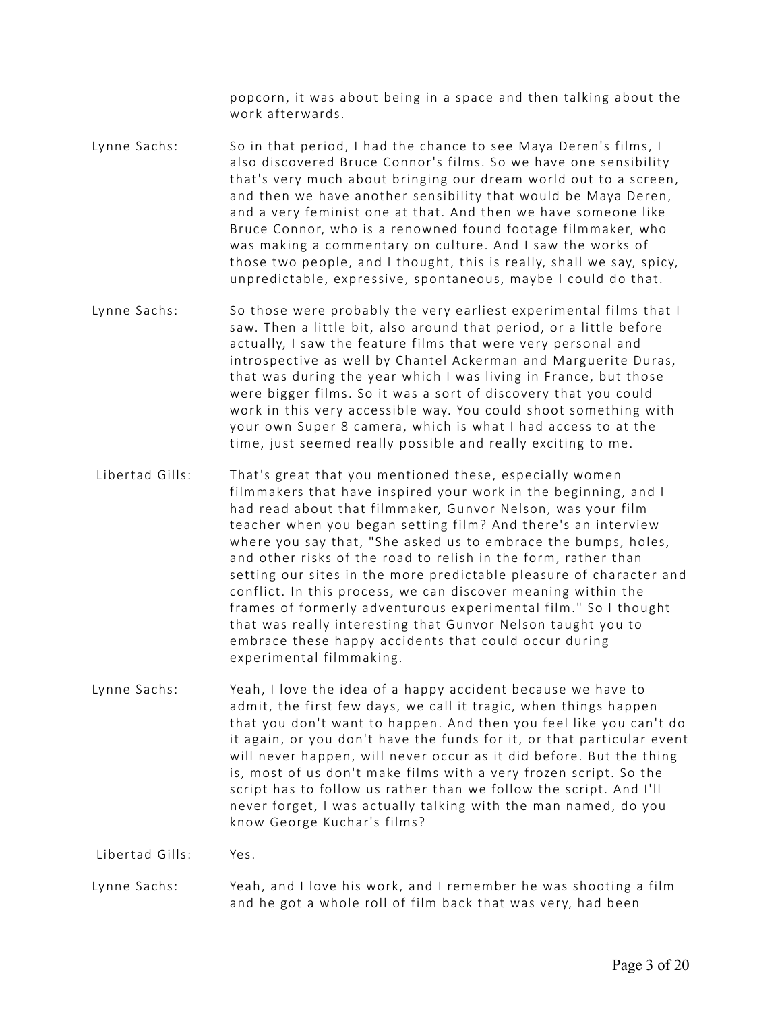popcorn, it was about being in a space and then talking about the work afterwards.

- Lynne Sachs: So in that period, I had the chance to see Maya Deren's films, I also discovered Bruce Connor's films. So we have one sensibility that's very much about bringing our dream world out to a screen, and then we have another sensibility that would be Maya Deren, and a very feminist one at that. And then we have someone like Bruce Connor, who is a renowned found footage filmmaker, who was making a commentary on culture. And I saw the works of those two people, and I thought, this is really, shall we say, spicy, unpredictable, expressive, spontaneous, maybe I could do that.
- Lynne Sachs: So those were probably the very earliest experimental films that I saw. Then a little bit, also around that period, or a little before actually, I saw the feature films that were very personal and introspective as well by Chantel Ackerman and Marguerite Duras, that was during the year which I was living in France, but those were bigger films. So it was a sort of discovery that you could work in this very accessible way. You could shoot something with your own Super 8 camera, which is what I had access to at the time, just seemed really possible and really exciting to me.
- Libertad Gills: That's great that you mentioned these, especially women filmmakers that have inspired your work in the beginning, and I had read about that filmmaker, Gunvor Nelson, was your film teacher when you began setting film? And there's an interview where you say that, "She asked us to embrace the bumps, holes, and other risks of the road to relish in the form, rather than setting our sites in the more predictable pleasure of character and conflict. In this process, we can discover meaning within the frames of formerly adventurous experimental film." So I thought that was really interesting that Gunvor Nelson taught you to embrace these happy accidents that could occur during experimental filmmaking.
- Lynne Sachs: Yeah, I love the idea of a happy accident because we have to admit, the first few days, we call it tragic, when things happen that you don't want to happen. And then you feel like you can't do it again, or you don't have the funds for it, or that particular event will never happen, will never occur as it did before. But the thing is, most of us don't make films with a very frozen script. So the script has to follow us rather than we follow the script. And I'll never forget, I was actually talking with the man named, do you know George Kuchar's films?

Libertad Gills: Yes.

Lynne Sachs: Yeah, and I love his work, and I remember he was shooting a film and he got a whole roll of film back that was very, had been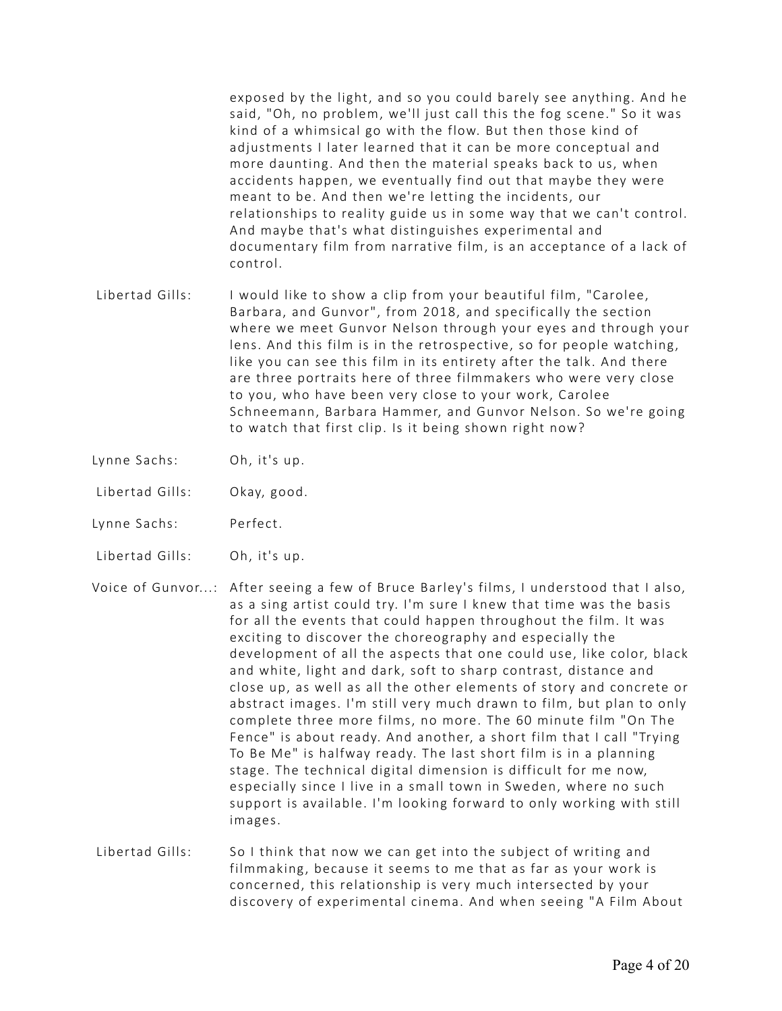exposed by the light, and so you could barely see anything. And he said, "Oh, no problem, we'll just call this the fog scene." So it was kind of a whimsical go with the flow. But then those kind of adjustments I later learned that it can be more conceptual and more daunting. And then the material speaks back to us, when accidents happen, we eventually find out that maybe they were meant to be. And then we're letting the incidents, our relationships to reality guide us in some way that we can't control. And maybe that's what distinguishes experimental and documentary film from narrative film, is an acceptance of a lack of control.

- Libertad Gills: I would like to show a clip from your beautiful film, "Carolee, Barbara, and Gunvor", from 2018, and specifically the section where we meet Gunvor Nelson through your eyes and through your lens. And this film is in the retrospective, so for people watching, like you can see this film in its entirety after the talk. And there are three portraits here of three filmmakers who were very close to you, who have been very close to your work, Carolee Schneemann, Barbara Hammer, and Gunvor Nelson. So we're going to watch that first clip. Is it being shown right now?
- Lynne Sachs: Oh, it's up.
- Libertad Gills: Okay, good.
- Lynne Sachs: Perfect.
- Libertad Gills: Oh, it's up.

Voice of Gunvor...: After seeing a few of Bruce Barley's films, I understood that I also, as a sing artist could try. I'm sure I knew that time was the basis for all the events that could happen throughout the film. It was exciting to discover the choreography and especially the development of all the aspects that one could use, like color, black and white, light and dark, soft to sharp contrast, distance and close up, as well as all the other elements of story and concrete or abstract images. I'm still very much drawn to film, but plan to only complete three more films, no more. The 60 minute film "On The Fence" is about ready. And another, a short film that I call "Trying To Be Me" is halfway ready. The last short film is in a planning stage. The technical digital dimension is difficult for me now, especially since I live in a small town in Sweden, where no such support is available. I'm looking forward to only working with still images.

 Libertad Gills: So I think that now we can get into the subject of writing and filmmaking, because it seems to me that as far as your work is concerned, this relationship is very much intersected by your discovery of experimental cinema. And when seeing "A Film About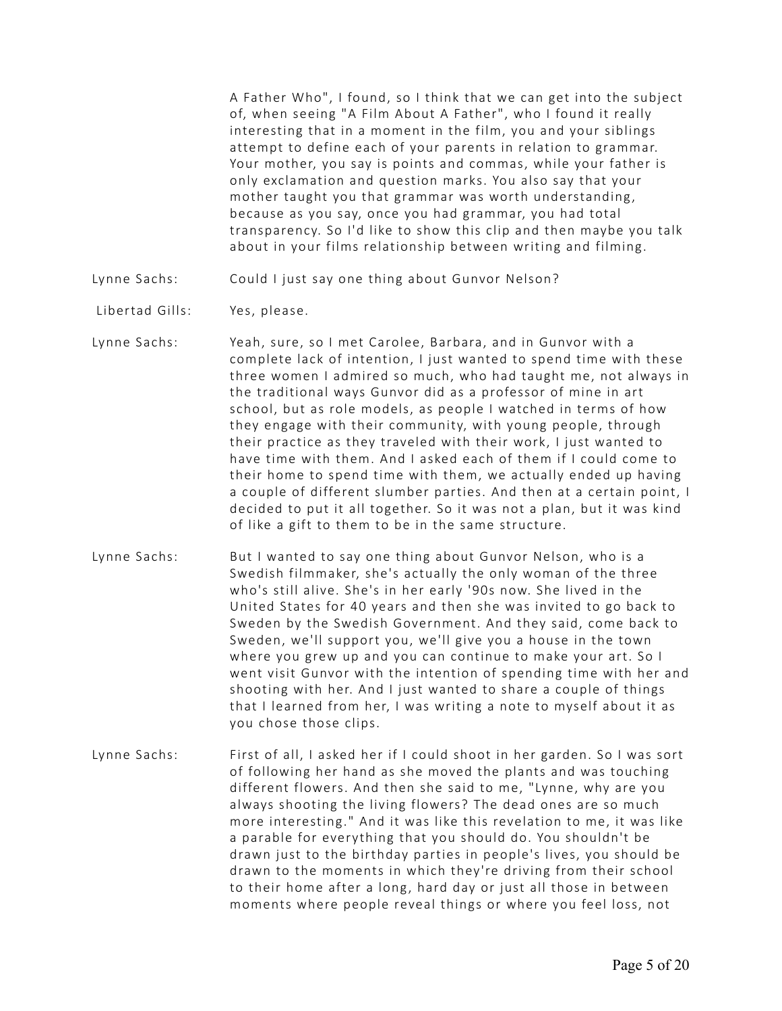A Father Who", I found, so I think that we can get into the subject of, when seeing "A Film About A Father", who I found it really interesting that in a moment in the film, you and your siblings attempt to define each of your parents in relation to grammar. Your mother, you say is points and commas, while your father is only exclamation and question marks. You also say that your mother taught you that grammar was worth understanding, because as you say, once you had grammar, you had total transparency. So I'd like to show this clip and then maybe you talk about in your films relationship between writing and filming.

- Lynne Sachs: Could I just say one thing about Gunvor Nelson?
- Libertad Gills: Yes, please.
- Lynne Sachs: Yeah, sure, so I met Carolee, Barbara, and in Gunvor with a complete lack of intention, I just wanted to spend time with these three women I admired so much, who had taught me, not always in the traditional ways Gunvor did as a professor of mine in art school, but as role models, as people I watched in terms of how they engage with their community, with young people, through their practice as they traveled with their work, I just wanted to have time with them. And I asked each of them if I could come to their home to spend time with them, we actually ended up having a couple of different slumber parties. And then at a certain point, I decided to put it all together. So it was not a plan, but it was kind of like a gift to them to be in the same structure.
- Lynne Sachs: But I wanted to say one thing about Gunvor Nelson, who is a Swedish filmmaker, she's actually the only woman of the three who's still alive. She's in her early '90s now. She lived in the United States for 40 years and then she was invited to go back to Sweden by the Swedish Government. And they said, come back to Sweden, we'll support you, we'll give you a house in the town where you grew up and you can continue to make your art. So I went visit Gunvor with the intention of spending time with her and shooting with her. And I just wanted to share a couple of things that I learned from her, I was writing a note to myself about it as you chose those clips.
- Lynne Sachs: First of all, I asked her if I could shoot in her garden. So I was sort of following her hand as she moved the plants and was touching different flowers. And then she said to me, "Lynne, why are you always shooting the living flowers? The dead ones are so much more interesting." And it was like this revelation to me, it was like a parable for everything that you should do. You shouldn't be drawn just to the birthday parties in people's lives, you should be drawn to the moments in which they're driving from their school to their home after a long, hard day or just all those in between moments where people reveal things or where you feel loss, not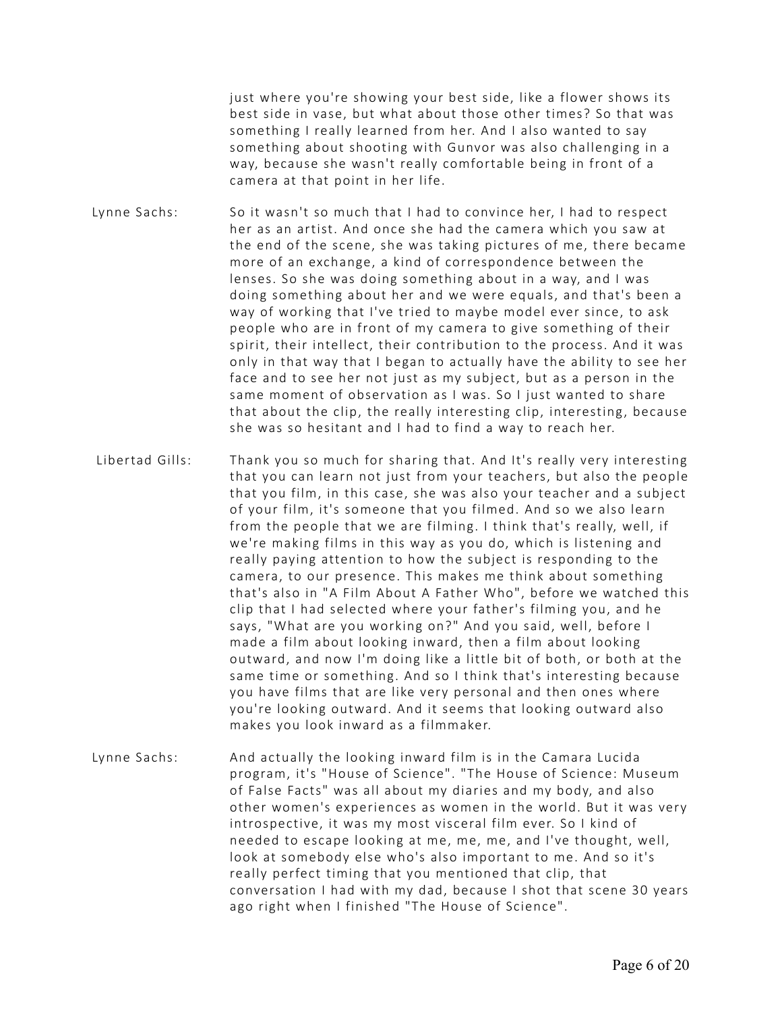just where you're showing your best side, like a flower shows its best side in vase, but what about those other times? So that was something I really learned from her. And I also wanted to say something about shooting with Gunvor was also challenging in a way, because she wasn't really comfortable being in front of a camera at that point in her life.

- Lynne Sachs: So it wasn't so much that I had to convince her, I had to respect her as an artist. And once she had the camera which you saw at the end of the scene, she was taking pictures of me, there became more of an exchange, a kind of correspondence between the lenses. So she was doing something about in a way, and I was doing something about her and we were equals, and that's been a way of working that I've tried to maybe model ever since, to ask people who are in front of my camera to give something of their spirit, their intellect, their contribution to the process. And it was only in that way that I began to actually have the ability to see her face and to see her not just as my subject, but as a person in the same moment of observation as I was. So I just wanted to share that about the clip, the really interesting clip, interesting, because she was so hesitant and I had to find a way to reach her.
- Libertad Gills: Thank you so much for sharing that. And It's really very interesting that you can learn not just from your teachers, but also the people that you film, in this case, she was also your teacher and a subject of your film, it's someone that you filmed. And so we also learn from the people that we are filming. I think that's really, well, if we're making films in this way as you do, which is listening and really paying attention to how the subject is responding to the camera, to our presence. This makes me think about something that's also in "A Film About A Father Who", before we watched this clip that I had selected where your father's filming you, and he says, "What are you working on?" And you said, well, before I made a film about looking inward, then a film about looking outward, and now I'm doing like a little bit of both, or both at the same time or something. And so I think that's interesting because you have films that are like very personal and then ones where you're looking outward. And it seems that looking outward also makes you look inward as a filmmaker.
- Lynne Sachs: And actually the looking inward film is in the Camara Lucida program, it's "House of Science". "The House of Science: Museum of False Facts" was all about my diaries and my body, and also other women's experiences as women in the world. But it was very introspective, it was my most visceral film ever. So I kind of needed to escape looking at me, me, me, and I've thought, well, look at somebody else who's also important to me. And so it's really perfect timing that you mentioned that clip, that conversation I had with my dad, because I shot that scene 30 years ago right when I finished "The House of Science".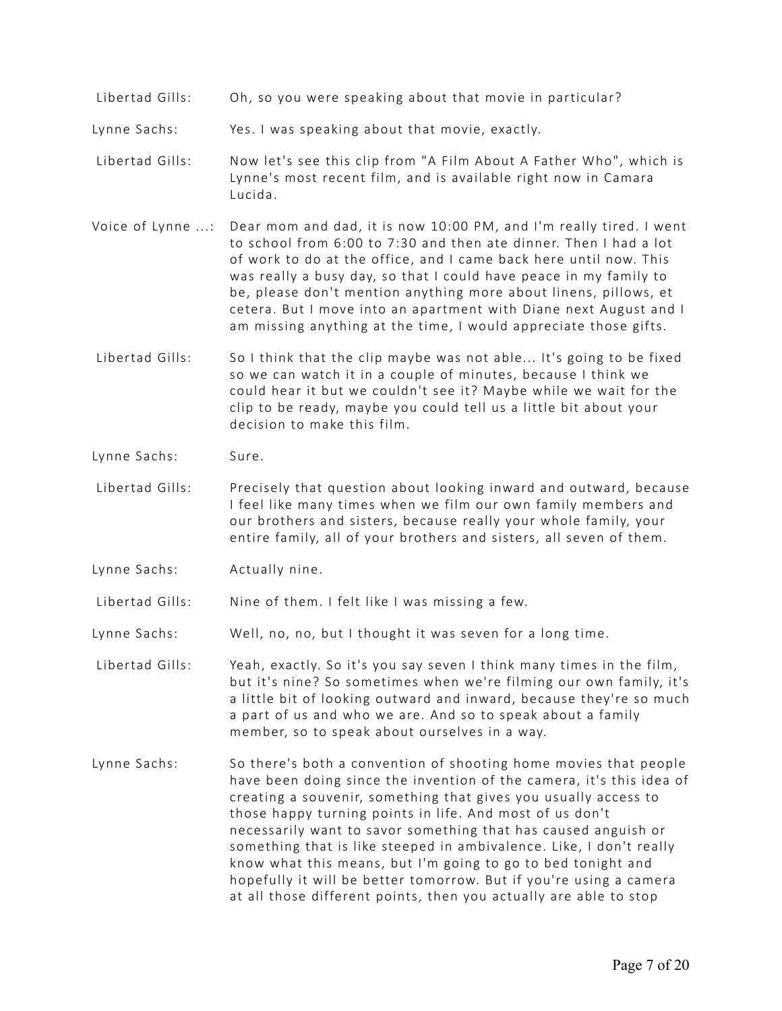Libertad Gills: Oh, so you were speaking about that movie in particular?

Lynne Sachs: Yes. I was speaking about that movie, exactly.

- Libertad Gills: Now let's see this clip from "A Film About A Father Who", which is Lynne's most recent film, and is available right now in Camara Lucida.
- Voice of Lynne ...: Dear mom and dad, it is now 10:00 PM, and I'm really tired. I went to school from 6:00 to 7:30 and then ate dinner. Then I had a lot of work to do at the office, and I came back here until now. This was really a busy day, so that I could have peace in my family to be, please don't mention anything more about linens, pillows, et cetera. But I move into an apartment with Diane next August and I am missing anything at the time, I would appreciate those gifts.
- Libertad Gills: So I think that the clip maybe was not able... It's going to be fixed so we can watch it in a couple of minutes, because I think we could hear it but we couldn't see it? Maybe while we wait for the clip to be ready, maybe you could tell us a little bit about your decision to make this film.
- Lynne Sachs: Sure.
- Libertad Gills: Precisely that question about looking inward and outward, because I feel like many times when we film our own family members and our brothers and sisters, because really your whole family, your entire family, all of your brothers and sisters, all seven of them.
- Lynne Sachs: Actually nine.

Libertad Gills: Nine of them. I felt like I was missing a few.

Lynne Sachs: Well, no, no, but I thought it was seven for a long time.

 Libertad Gills: Yeah, exactly. So it's you say seven I think many times in the film, but it's nine? So sometimes when we're filming our own family, it's a little bit of looking outward and inward, because they're so much a part of us and who we are. And so to speak about a family member, so to speak about ourselves in a way.

Lynne Sachs: So there's both a convention of shooting home movies that people have been doing since the invention of the camera, it's this idea of creating a souvenir, something that gives you usually access to those happy turning points in life. And most of us don't necessarily want to savor something that has caused anguish or something that is like steeped in ambivalence. Like, I don't really know what this means, but I'm going to go to bed tonight and hopefully it will be better tomorrow. But if you're using a camera at all those different points, then you actually are able to stop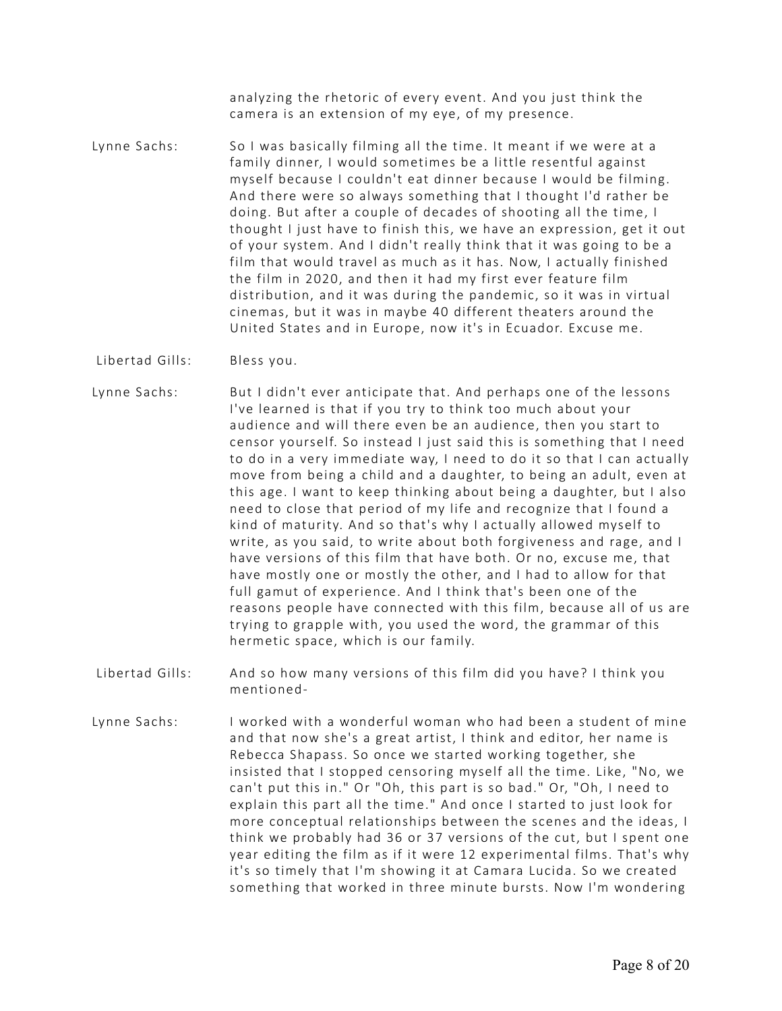analyzing the rhetoric of every event. And you just think the camera is an extension of my eye, of my presence.

- Lynne Sachs: So I was basically filming all the time. It meant if we were at a family dinner, I would sometimes be a little resentful against myself because I couldn't eat dinner because I would be filming. And there were so always something that I thought I'd rather be doing. But after a couple of decades of shooting all the time, I thought I just have to finish this, we have an expression, get it out of your system. And I didn't really think that it was going to be a film that would travel as much as it has. Now, I actually finished the film in 2020, and then it had my first ever feature film distribution, and it was during the pandemic, so it was in virtual cinemas, but it was in maybe 40 different theaters around the United States and in Europe, now it's in Ecuador. Excuse me.
- Libertad Gills: Bless you.
- Lynne Sachs: But I didn't ever anticipate that. And perhaps one of the lessons I've learned is that if you try to think too much about your audience and will there even be an audience, then you start to censor yourself. So instead I just said this is something that I need to do in a very immediate way, I need to do it so that I can actually move from being a child and a daughter, to being an adult, even at this age. I want to keep thinking about being a daughter, but I also need to close that period of my life and recognize that I found a kind of maturity. And so that's why I actually allowed myself to write, as you said, to write about both forgiveness and rage, and I have versions of this film that have both. Or no, excuse me, that have mostly one or mostly the other, and I had to allow for that full gamut of experience. And I think that's been one of the reasons people have connected with this film, because all of us are trying to grapple with, you used the word, the grammar of this hermetic space, which is our family.
- Libertad Gills: And so how many versions of this film did you have? I think you mentioned-
- Lynne Sachs: I worked with a wonderful woman who had been a student of mine and that now she's a great artist, I think and editor, her name is Rebecca Shapass. So once we started working together, she insisted that I stopped censoring myself all the time. Like, "No, we can't put this in." Or "Oh, this part is so bad." Or, "Oh, I need to explain this part all the time." And once I started to just look for more conceptual relationships between the scenes and the ideas, I think we probably had 36 or 37 versions of the cut, but I spent one year editing the film as if it were 12 experimental films. That's why it's so timely that I'm showing it at Camara Lucida. So we created something that worked in three minute bursts. Now I'm wondering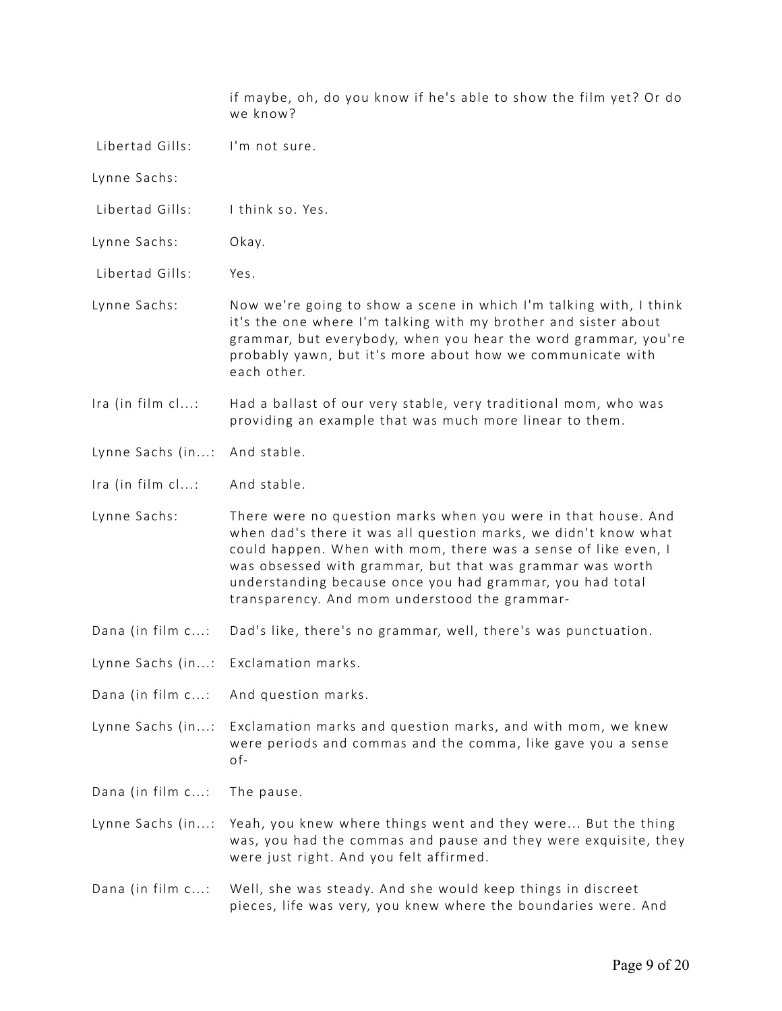|                                     | if maybe, oh, do you know if he's able to show the film yet? Or do<br>we know?                                                                                                                                                                                                                                                                                                |
|-------------------------------------|-------------------------------------------------------------------------------------------------------------------------------------------------------------------------------------------------------------------------------------------------------------------------------------------------------------------------------------------------------------------------------|
| Libertad Gills:                     | I'm not sure.                                                                                                                                                                                                                                                                                                                                                                 |
| Lynne Sachs:                        |                                                                                                                                                                                                                                                                                                                                                                               |
| Libertad Gills:                     | I think so. Yes.                                                                                                                                                                                                                                                                                                                                                              |
| Lynne Sachs:                        | Okay.                                                                                                                                                                                                                                                                                                                                                                         |
| Libertad Gills:                     | Yes.                                                                                                                                                                                                                                                                                                                                                                          |
| Lynne Sachs:                        | Now we're going to show a scene in which I'm talking with, I think<br>it's the one where I'm talking with my brother and sister about<br>grammar, but everybody, when you hear the word grammar, you're<br>probably yawn, but it's more about how we communicate with<br>each other.                                                                                          |
| Ira (in film cl:                    | Had a ballast of our very stable, very traditional mom, who was<br>providing an example that was much more linear to them.                                                                                                                                                                                                                                                    |
| Lynne Sachs (in:                    | And stable.                                                                                                                                                                                                                                                                                                                                                                   |
| Ira (in film cl:                    | And stable.                                                                                                                                                                                                                                                                                                                                                                   |
| Lynne Sachs:                        | There were no question marks when you were in that house. And<br>when dad's there it was all question marks, we didn't know what<br>could happen. When with mom, there was a sense of like even, I<br>was obsessed with grammar, but that was grammar was worth<br>understanding because once you had grammar, you had total<br>transparency. And mom understood the grammar- |
| Dana (in film c:                    | Dad's like, there's no grammar, well, there's was punctuation.                                                                                                                                                                                                                                                                                                                |
| Lynne Sachs (in: Exclamation marks. |                                                                                                                                                                                                                                                                                                                                                                               |
| Dana (in film c:                    | And question marks.                                                                                                                                                                                                                                                                                                                                                           |
| Lynne Sachs (in:                    | Exclamation marks and question marks, and with mom, we knew<br>were periods and commas and the comma, like gave you a sense<br>of-                                                                                                                                                                                                                                            |
| Dana (in film c:                    | The pause.                                                                                                                                                                                                                                                                                                                                                                    |
| Lynne Sachs (in:                    | Yeah, you knew where things went and they were But the thing<br>was, you had the commas and pause and they were exquisite, they<br>were just right. And you felt affirmed.                                                                                                                                                                                                    |
| Dana (in film c:                    | Well, she was steady. And she would keep things in discreet<br>pieces, life was very, you knew where the boundaries were. And                                                                                                                                                                                                                                                 |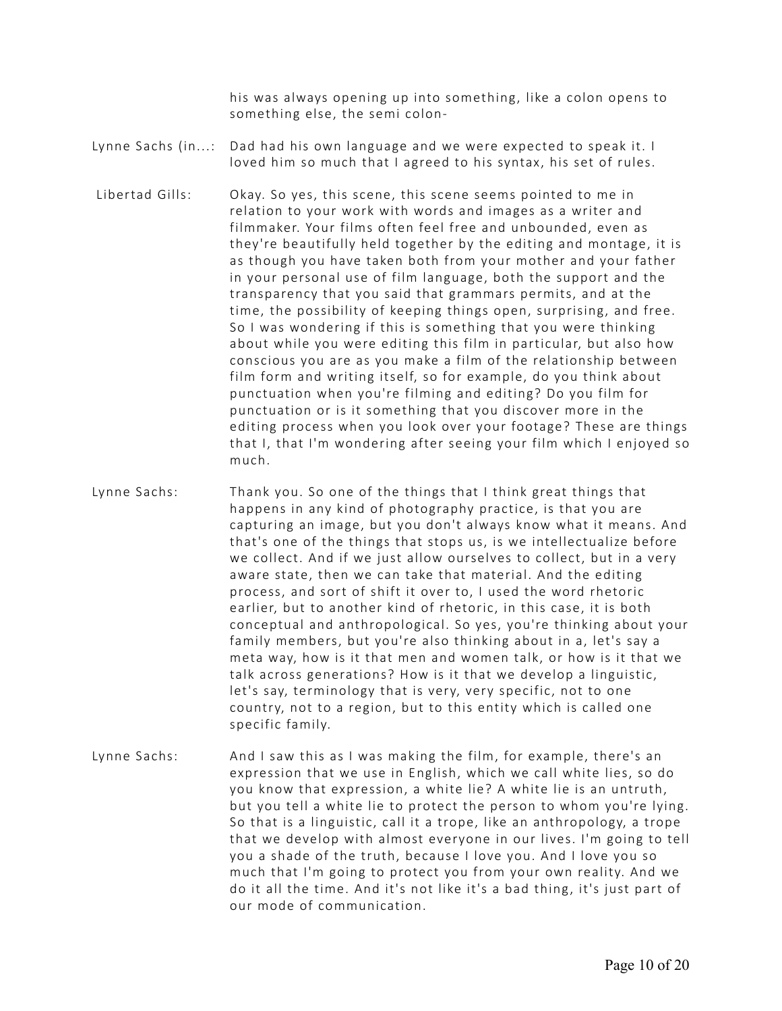his was always opening up into something, like a colon opens to something else, the semi colon-

- Lynne Sachs (in...: Dad had his own language and we were expected to speak it. I loved him so much that I agreed to his syntax, his set of rules.
- Libertad Gills: Okay. So yes, this scene, this scene seems pointed to me in relation to your work with words and images as a writer and filmmaker. Your films often feel free and unbounded, even as they're beautifully held together by the editing and montage, it is as though you have taken both from your mother and your father in your personal use of film language, both the support and the transparency that you said that grammars permits, and at the time, the possibility of keeping things open, surprising, and free. So I was wondering if this is something that you were thinking about while you were editing this film in particular, but also how conscious you are as you make a film of the relationship between film form and writing itself, so for example, do you think about punctuation when you're filming and editing? Do you film for punctuation or is it something that you discover more in the editing process when you look over your footage? These are things that I, that I'm wondering after seeing your film which I enjoyed so much.
- Lynne Sachs: Thank you. So one of the things that I think great things that happens in any kind of photography practice, is that you are capturing an image, but you don't always know what it means. And that's one of the things that stops us, is we intellectualize before we collect. And if we just allow ourselves to collect, but in a very aware state, then we can take that material. And the editing process, and sort of shift it over to, I used the word rhetoric earlier, but to another kind of rhetoric, in this case, it is both conceptual and anthropological. So yes, you're thinking about your family members, but you're also thinking about in a, let's say a meta way, how is it that men and women talk, or how is it that we talk across generations? How is it that we develop a linguistic, let's say, terminology that is very, very specific, not to one country, not to a region, but to this entity which is called one specific family.
- Lynne Sachs: And I saw this as I was making the film, for example, there's an expression that we use in English, which we call white lies, so do you know that expression, a white lie? A white lie is an untruth, but you tell a white lie to protect the person to whom you're lying. So that is a linguistic, call it a trope, like an anthropology, a trope that we develop with almost everyone in our lives. I'm going to tell you a shade of the truth, because I love you. And I love you so much that I'm going to protect you from your own reality. And we do it all the time. And it's not like it's a bad thing, it's just part of our mode of communication.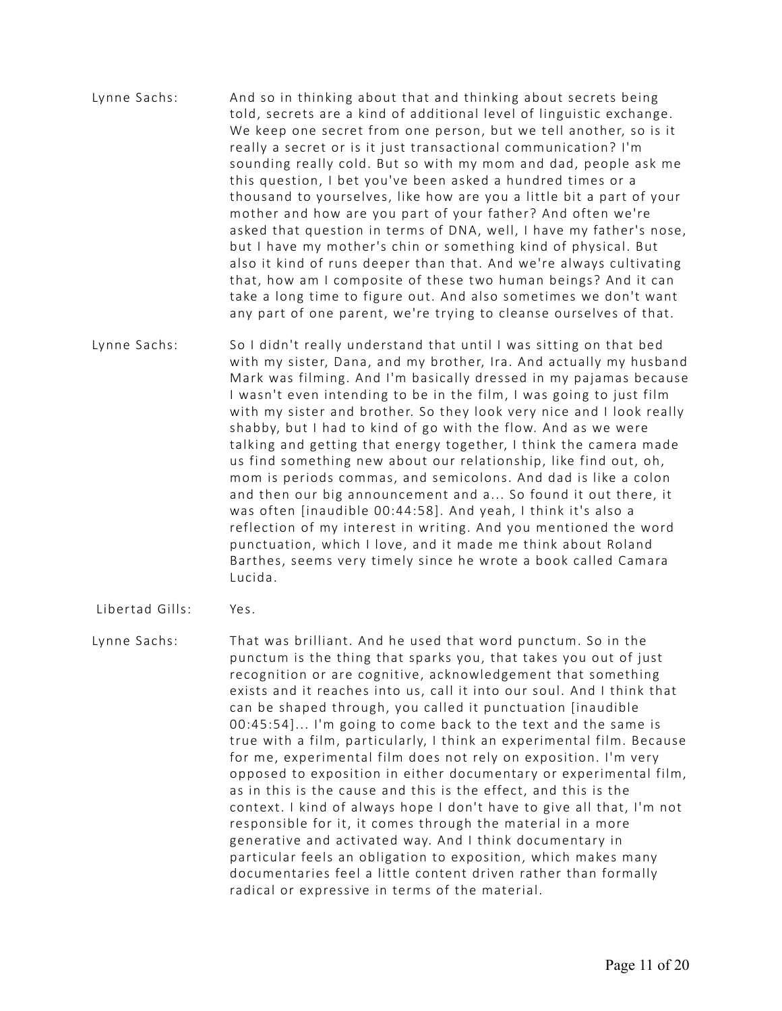- Lynne Sachs: And so in thinking about that and thinking about secrets being told, secrets are a kind of additional level of linguistic exchange. We keep one secret from one person, but we tell another, so is it really a secret or is it just transactional communication? I'm sounding really cold. But so with my mom and dad, people ask me this question, I bet you've been asked a hundred times or a thousand to yourselves, like how are you a little bit a part of your mother and how are you part of your father? And often we're asked that question in terms of DNA, well, I have my father's nose, but I have my mother's chin or something kind of physical. But also it kind of runs deeper than that. And we're always cultivating that, how am I composite of these two human beings? And it can take a long time to figure out. And also sometimes we don't want any part of one parent, we're trying to cleanse ourselves of that.
- Lynne Sachs: So I didn't really understand that until I was sitting on that bed with my sister, Dana, and my brother, Ira. And actually my husband Mark was filming. And I'm basically dressed in my pajamas because I wasn't even intending to be in the film, I was going to just film with my sister and brother. So they look very nice and I look really shabby, but I had to kind of go with the flow. And as we were talking and getting that energy together, I think the camera made us find something new about our relationship, like find out, oh, mom is periods commas, and semicolons. And dad is like a colon and then our big announcement and a... So found it out there, it was often [inaudible 00:44:58]. And yeah, I think it's also a reflection of my interest in writing. And you mentioned the word punctuation, which I love, and it made me think about Roland Barthes, seems very timely since he wrote a book called Camara Lucida.
- Libertad Gills: Yes.
- Lynne Sachs: That was brilliant. And he used that word punctum. So in the punctum is the thing that sparks you, that takes you out of just recognition or are cognitive, acknowledgement that something exists and it reaches into us, call it into our soul. And I think that can be shaped through, you called it punctuation [inaudible 00:45:54]... I'm going to come back to the text and the same is true with a film, particularly, I think an experimental film. Because for me, experimental film does not rely on exposition. I'm very opposed to exposition in either documentary or experimental film, as in this is the cause and this is the effect, and this is the context. I kind of always hope I don't have to give all that, I'm not responsible for it, it comes through the material in a more generative and activated way. And I think documentary in particular feels an obligation to exposition, which makes many documentaries feel a little content driven rather than formally radical or expressive in terms of the material.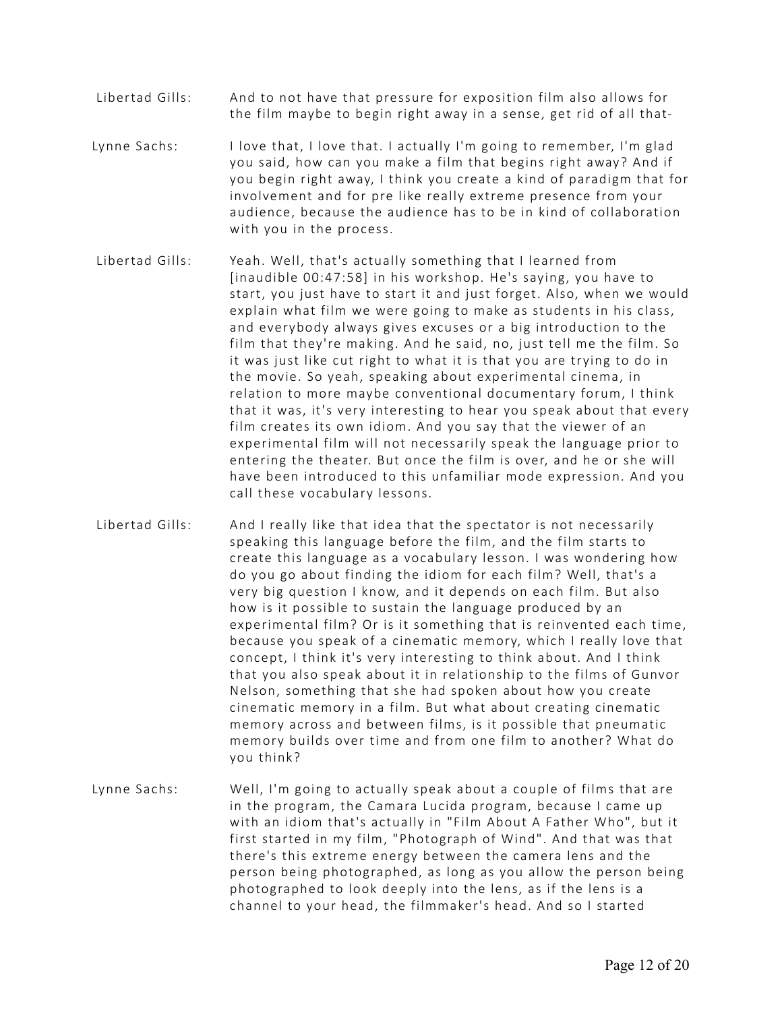- Libertad Gills: And to not have that pressure for exposition film also allows for the film maybe to begin right away in a sense, get rid of all that-
- Lynne Sachs: I love that, I love that. I actually I'm going to remember, I'm glad you said, how can you make a film that begins right away? And if you begin right away, I think you create a kind of paradigm that for involvement and for pre like really extreme presence from your audience, because the audience has to be in kind of collaboration with you in the process.
- Libertad Gills: Yeah. Well, that's actually something that I learned from [inaudible 00:47:58] in his workshop. He's saying, you have to start, you just have to start it and just forget. Also, when we would explain what film we were going to make as students in his class, and everybody always gives excuses or a big introduction to the film that they're making. And he said, no, just tell me the film. So it was just like cut right to what it is that you are trying to do in the movie. So yeah, speaking about experimental cinema, in relation to more maybe conventional documentary forum, I think that it was, it's very interesting to hear you speak about that every film creates its own idiom. And you say that the viewer of an experimental film will not necessarily speak the language prior to entering the theater. But once the film is over, and he or she will have been introduced to this unfamiliar mode expression. And you call these vocabulary lessons.
- Libertad Gills: And I really like that idea that the spectator is not necessarily speaking this language before the film, and the film starts to create this language as a vocabulary lesson. I was wondering how do you go about finding the idiom for each film? Well, that's a very big question I know, and it depends on each film. But also how is it possible to sustain the language produced by an experimental film? Or is it something that is reinvented each time, because you speak of a cinematic memory, which I really love that concept, I think it's very interesting to think about. And I think that you also speak about it in relationship to the films of Gunvor Nelson, something that she had spoken about how you create cinematic memory in a film. But what about creating cinematic memory across and between films, is it possible that pneumatic memory builds over time and from one film to another? What do you think?
- Lynne Sachs: Well, I'm going to actually speak about a couple of films that are in the program, the Camara Lucida program, because I came up with an idiom that's actually in "Film About A Father Who", but it first started in my film, "Photograph of Wind". And that was that there's this extreme energy between the camera lens and the person being photographed, as long as you allow the person being photographed to look deeply into the lens, as if the lens is a channel to your head, the filmmaker's head. And so I started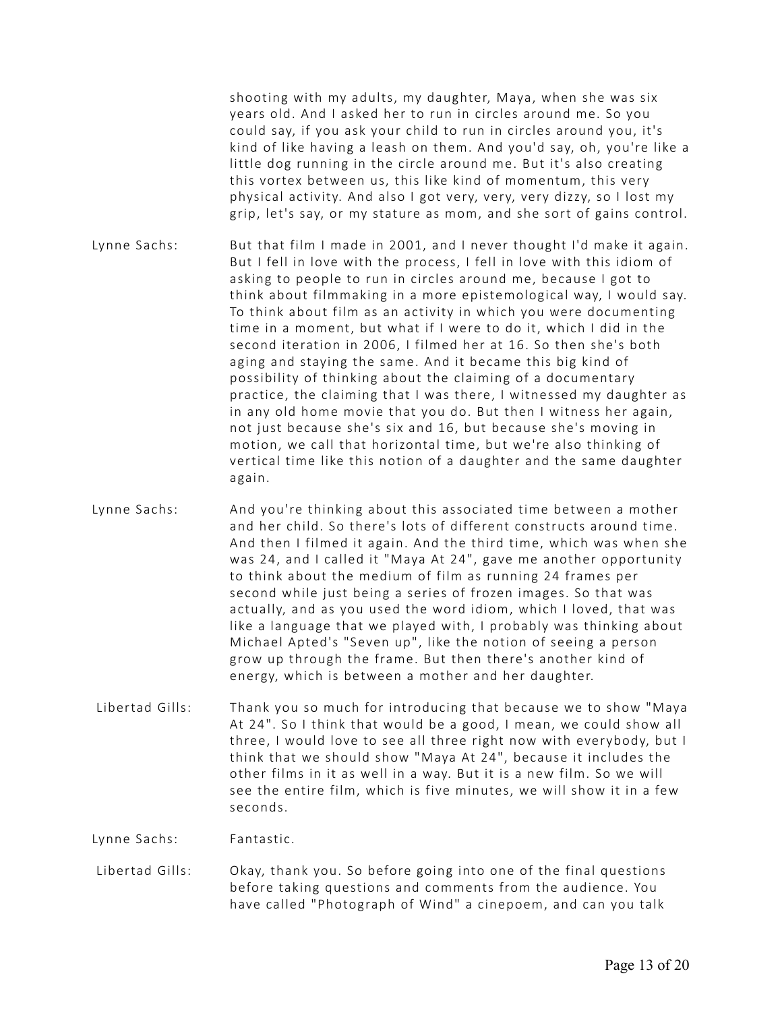shooting with my adults, my daughter, Maya, when she was six years old. And I asked her to run in circles around me. So you could say, if you ask your child to run in circles around you, it's kind of like having a leash on them. And you'd say, oh, you're like a little dog running in the circle around me. But it's also creating this vortex between us, this like kind of momentum, this very physical activity. And also I got very, very, very dizzy, so I lost my grip, let's say, or my stature as mom, and she sort of gains control.

- Lynne Sachs: But that film I made in 2001, and I never thought I'd make it again. But I fell in love with the process, I fell in love with this idiom of asking to people to run in circles around me, because I got to think about filmmaking in a more epistemological way, I would say. To think about film as an activity in which you were documenting time in a moment, but what if I were to do it, which I did in the second iteration in 2006, I filmed her at 16. So then she's both aging and staying the same. And it became this big kind of possibility of thinking about the claiming of a documentary practice, the claiming that I was there, I witnessed my daughter as in any old home movie that you do. But then I witness her again, not just because she's six and 16, but because she's moving in motion, we call that horizontal time, but we're also thinking of vertical time like this notion of a daughter and the same daughter again.
- Lynne Sachs: And you're thinking about this associated time between a mother and her child. So there's lots of different constructs around time. And then I filmed it again. And the third time, which was when she was 24, and I called it "Maya At 24", gave me another opportunity to think about the medium of film as running 24 frames per second while just being a series of frozen images. So that was actually, and as you used the word idiom, which I loved, that was like a language that we played with, I probably was thinking about Michael Apted's "Seven up", like the notion of seeing a person grow up through the frame. But then there's another kind of energy, which is between a mother and her daughter.
- Libertad Gills: Thank you so much for introducing that because we to show "Maya At 24". So I think that would be a good, I mean, we could show all three, I would love to see all three right now with everybody, but I think that we should show "Maya At 24", because it includes the other films in it as well in a way. But it is a new film. So we will see the entire film, which is five minutes, we will show it in a few seconds.

Lynne Sachs: Fantastic.

 Libertad Gills: Okay, thank you. So before going into one of the final questions before taking questions and comments from the audience. You have called "Photograph of Wind" a cinepoem, and can you talk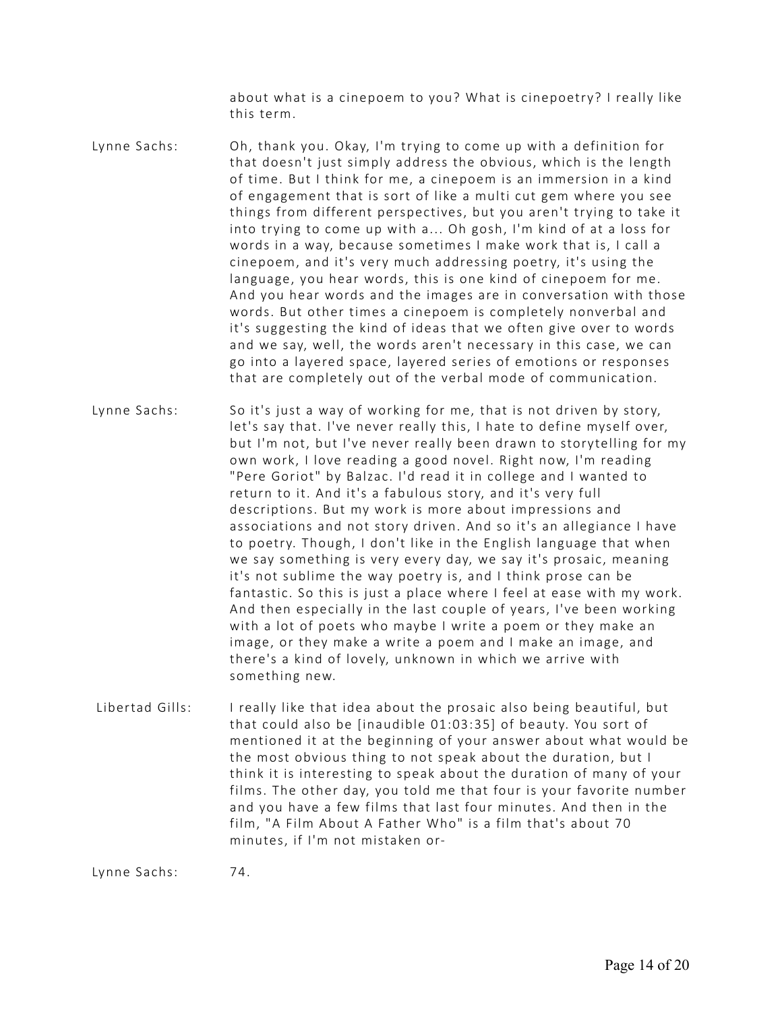about what is a cinepoem to you? What is cinepoetry? I really like this term.

Lynne Sachs: Oh, thank you. Okay, I'm trying to come up with a definition for that doesn't just simply address the obvious, which is the length of time. But I think for me, a cinepoem is an immersion in a kind of engagement that is sort of like a multi cut gem where you see things from different perspectives, but you aren't trying to take it into trying to come up with a... Oh gosh, I'm kind of at a loss for words in a way, because sometimes I make work that is, I call a cinepoem, and it's very much addressing poetry, it's using the language, you hear words, this is one kind of cinepoem for me. And you hear words and the images are in conversation with those words. But other times a cinepoem is completely nonverbal and it's suggesting the kind of ideas that we often give over to words and we say, well, the words aren't necessary in this case, we can go into a layered space, layered series of emotions or responses that are completely out of the verbal mode of communication.

Lynne Sachs: So it's just a way of working for me, that is not driven by story, let's say that. I've never really this, I hate to define myself over, but I'm not, but I've never really been drawn to storytelling for my own work, I love reading a good novel. Right now, I'm reading "Pere Goriot" by Balzac. I'd read it in college and I wanted to return to it. And it's a fabulous story, and it's very full descriptions. But my work is more about impressions and associations and not story driven. And so it's an allegiance I have to poetry. Though, I don't like in the English language that when we say something is very every day, we say it's prosaic, meaning it's not sublime the way poetry is, and I think prose can be fantastic. So this is just a place where I feel at ease with my work. And then especially in the last couple of years, I've been working with a lot of poets who maybe I write a poem or they make an image, or they make a write a poem and I make an image, and there's a kind of lovely, unknown in which we arrive with something new.

 Libertad Gills: I really like that idea about the prosaic also being beautiful, but that could also be [inaudible 01:03:35] of beauty. You sort of mentioned it at the beginning of your answer about what would be the most obvious thing to not speak about the duration, but I think it is interesting to speak about the duration of many of your films. The other day, you told me that four is your favorite number and you have a few films that last four minutes. And then in the film, "A Film About A Father Who" is a film that's about 70 minutes, if I'm not mistaken or-

Lynne Sachs: 74.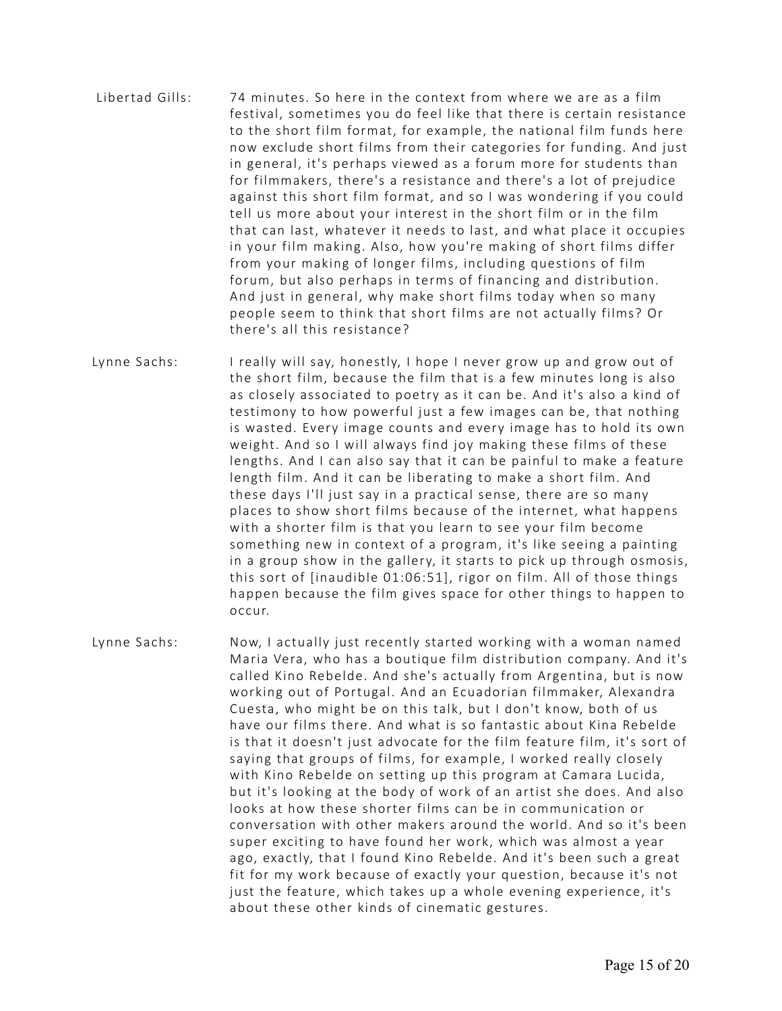- Libertad Gills: 74 minutes. So here in the context from where we are as a film festival, sometimes you do feel like that there is certain resistance to the short film format, for example, the national film funds here now exclude short films from their categories for funding. And just in general, it's perhaps viewed as a forum more for students than for filmmakers, there's a resistance and there's a lot of prejudice against this short film format, and so I was wondering if you could tell us more about your interest in the short film or in the film that can last, whatever it needs to last, and what place it occupies in your film making. Also, how you're making of short films differ from your making of longer films, including questions of film forum, but also perhaps in terms of financing and distribution. And just in general, why make short films today when so many people seem to think that short films are not actually films? Or there's all this resistance?
- Lynne Sachs: I really will say, honestly, I hope I never grow up and grow out of the short film, because the film that is a few minutes long is also as closely associated to poetry as it can be. And it's also a kind of testimony to how powerful just a few images can be, that nothing is wasted. Every image counts and every image has to hold its own weight. And so I will always find joy making these films of these lengths. And I can also say that it can be painful to make a feature length film. And it can be liberating to make a short film. And these days I'll just say in a practical sense, there are so many places to show short films because of the internet, what happens with a shorter film is that you learn to see your film become something new in context of a program, it's like seeing a painting in a group show in the gallery, it starts to pick up through osmosis, this sort of [inaudible 01:06:51], rigor on film. All of those things happen because the film gives space for other things to happen to occur.
- Lynne Sachs: Now, I actually just recently started working with a woman named Maria Vera, who has a boutique film distribution company. And it's called Kino Rebelde. And she's actually from Argentina, but is now working out of Portugal. And an Ecuadorian filmmaker, Alexandra Cuesta, who might be on this talk, but I don't know, both of us have our films there. And what is so fantastic about Kina Rebelde is that it doesn't just advocate for the film feature film, it's sort of saying that groups of films, for example, I worked really closely with Kino Rebelde on setting up this program at Camara Lucida, but it's looking at the body of work of an artist she does. And also looks at how these shorter films can be in communication or conversation with other makers around the world. And so it's been super exciting to have found her work, which was almost a year ago, exactly, that I found Kino Rebelde. And it's been such a great fit for my work because of exactly your question, because it's not just the feature, which takes up a whole evening experience, it's about these other kinds of cinematic gestures.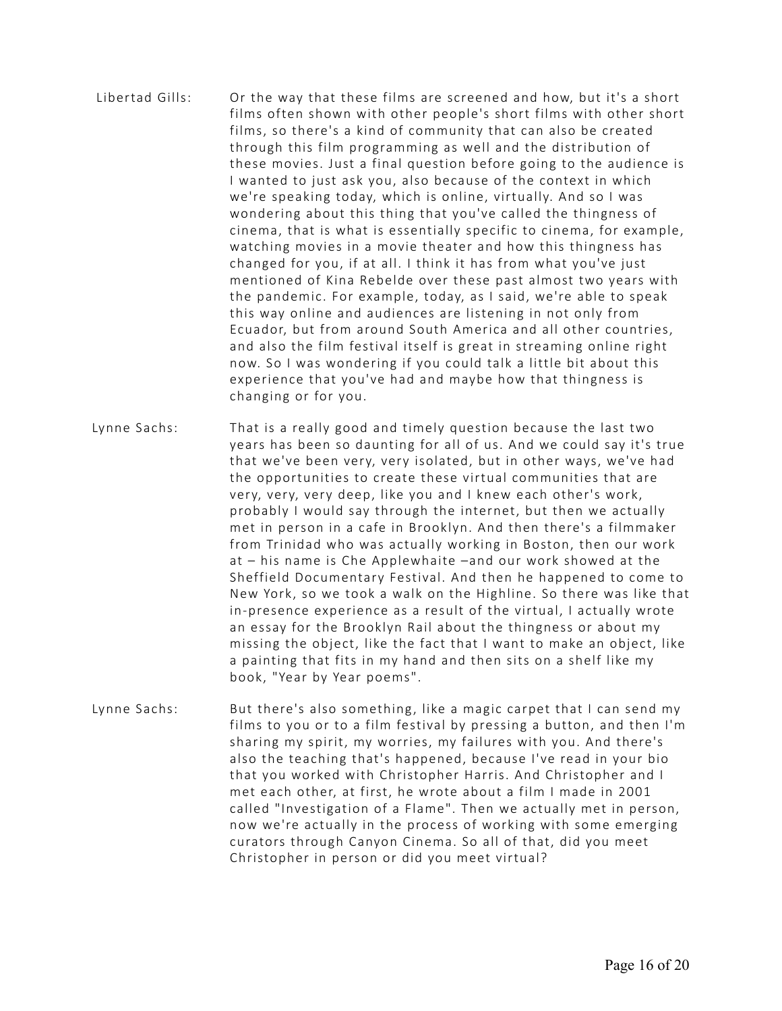- Libertad Gills: Or the way that these films are screened and how, but it's a short films often shown with other people's short films with other short films, so there's a kind of community that can also be created through this film programming as well and the distribution of these movies. Just a final question before going to the audience is I wanted to just ask you, also because of the context in which we're speaking today, which is online, virtually. And so I was wondering about this thing that you've called the thingness of cinema, that is what is essentially specific to cinema, for example, watching movies in a movie theater and how this thingness has changed for you, if at all. I think it has from what you've just mentioned of Kina Rebelde over these past almost two years with the pandemic. For example, today, as I said, we're able to speak this way online and audiences are listening in not only from Ecuador, but from around South America and all other countries, and also the film festival itself is great in streaming online right now. So I was wondering if you could talk a little bit about this experience that you've had and maybe how that thingness is changing or for you.
- Lynne Sachs: That is a really good and timely question because the last two years has been so daunting for all of us. And we could say it's true that we've been very, very isolated, but in other ways, we've had the opportunities to create these virtual communities that are very, very, very deep, like you and I knew each other's work, probably I would say through the internet, but then we actually met in person in a cafe in Brooklyn. And then there's a filmmaker from Trinidad who was actually working in Boston, then our work at – his name is Che Applewhaite –and our work showed at the Sheffield Documentary Festival. And then he happened to come to New York, so we took a walk on the Highline. So there was like that in-presence experience as a result of the virtual, I actually wrote an essay for the Brooklyn Rail about the thingness or about my missing the object, like the fact that I want to make an object, like a painting that fits in my hand and then sits on a shelf like my book, "Year by Year poems".
- Lynne Sachs: But there's also something, like a magic carpet that I can send my films to you or to a film festival by pressing a button, and then I'm sharing my spirit, my worries, my failures with you. And there's also the teaching that's happened, because I've read in your bio that you worked with Christopher Harris. And Christopher and I met each other, at first, he wrote about a film I made in 2001 called "Investigation of a Flame". Then we actually met in person, now we're actually in the process of working with some emerging curators through Canyon Cinema. So all of that, did you meet Christopher in person or did you meet virtual?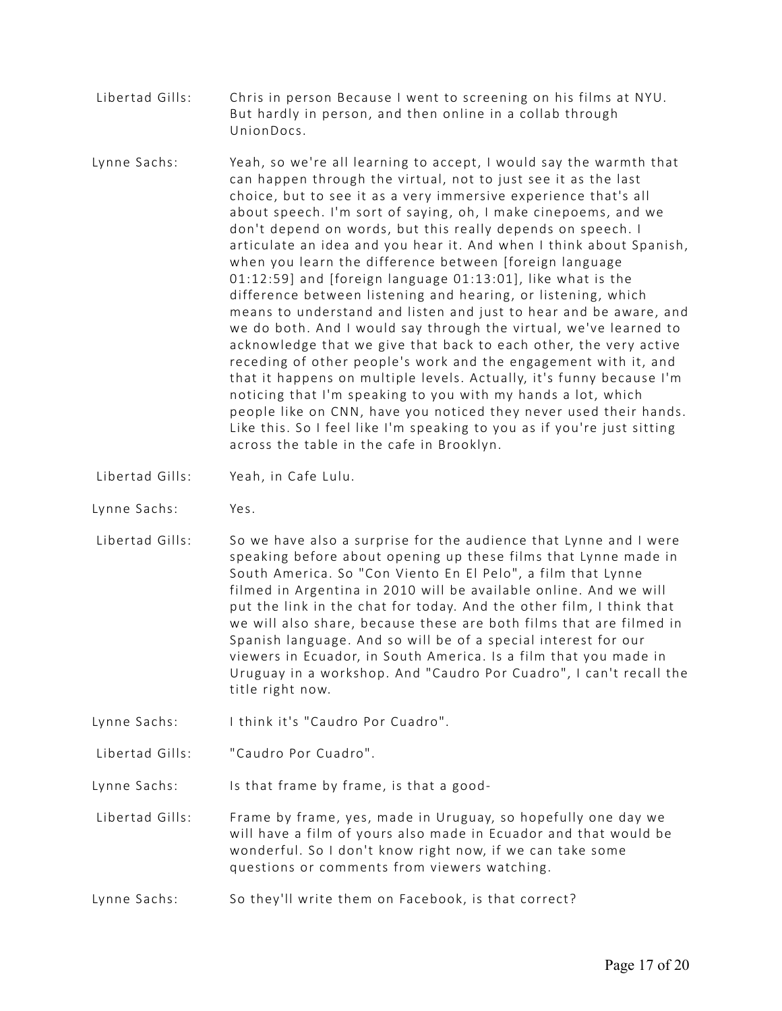- Libertad Gills: Chris in person Because I went to screening on his films at NYU. But hardly in person, and then online in a collab through UnionDocs.
- Lynne Sachs: Yeah, so we're all learning to accept, I would say the warmth that can happen through the virtual, not to just see it as the last choice, but to see it as a very immersive experience that's all about speech. I'm sort of saying, oh, I make cinepoems, and we don't depend on words, but this really depends on speech. I articulate an idea and you hear it. And when I think about Spanish, when you learn the difference between [foreign language 01:12:59] and [foreign language 01:13:01], like what is the difference between listening and hearing, or listening, which means to understand and listen and just to hear and be aware, and we do both. And I would say through the virtual, we've learned to acknowledge that we give that back to each other, the very active receding of other people's work and the engagement with it, and that it happens on multiple levels. Actually, it's funny because I'm noticing that I'm speaking to you with my hands a lot, which people like on CNN, have you noticed they never used their hands. Like this. So I feel like I'm speaking to you as if you're just sitting across the table in the cafe in Brooklyn.
- Libertad Gills: Yeah, in Cafe Lulu.
- Lynne Sachs: Yes.
- Libertad Gills: So we have also a surprise for the audience that Lynne and I were speaking before about opening up these films that Lynne made in South America. So "Con Viento En El Pelo", a film that Lynne filmed in Argentina in 2010 will be available online. And we will put the link in the chat for today. And the other film, I think that we will also share, because these are both films that are filmed in Spanish language. And so will be of a special interest for our viewers in Ecuador, in South America. Is a film that you made in Uruguay in a workshop. And "Caudro Por Cuadro", I can't recall the title right now.
- Lynne Sachs: I think it's "Caudro Por Cuadro".
- Libertad Gills: "Caudro Por Cuadro".

Lynne Sachs: Is that frame by frame, is that a good-

- Libertad Gills: Frame by frame, yes, made in Uruguay, so hopefully one day we will have a film of yours also made in Ecuador and that would be wonderful. So I don't know right now, if we can take some questions or comments from viewers watching.
- Lynne Sachs: So they'll write them on Facebook, is that correct?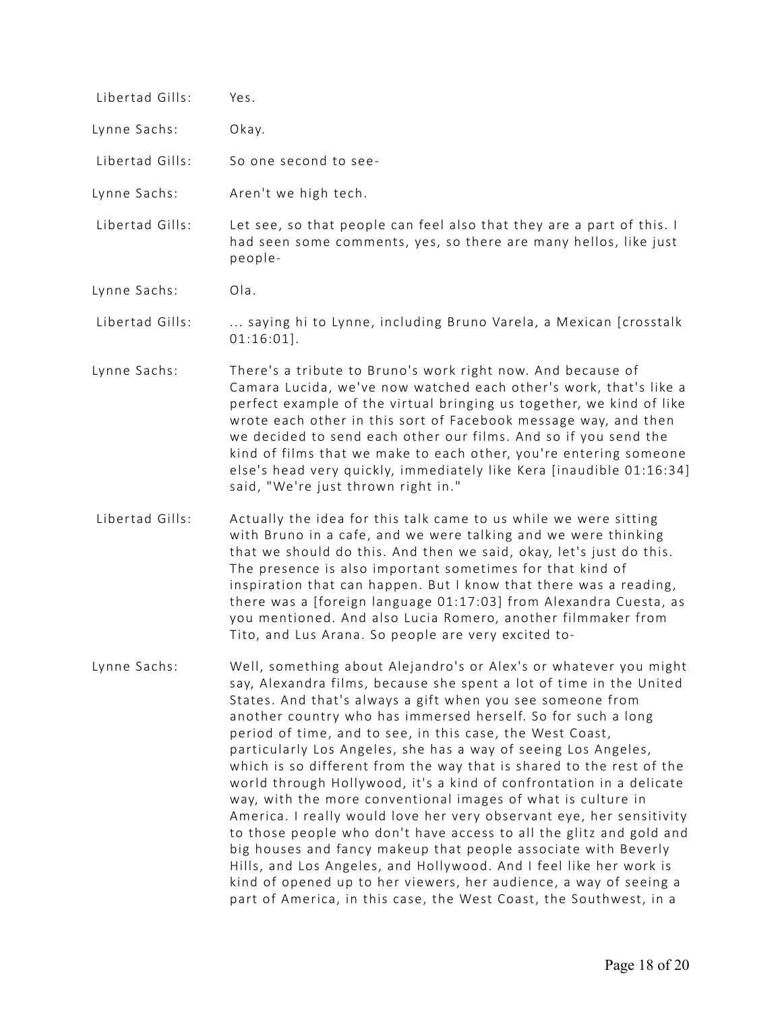| Libertad Gills: | Yes.                                                                                                                                                                                                                                                                                                                                                                                                                                                                                                                                                                                                                                                                                         |
|-----------------|----------------------------------------------------------------------------------------------------------------------------------------------------------------------------------------------------------------------------------------------------------------------------------------------------------------------------------------------------------------------------------------------------------------------------------------------------------------------------------------------------------------------------------------------------------------------------------------------------------------------------------------------------------------------------------------------|
| Lynne Sachs:    | Okay.                                                                                                                                                                                                                                                                                                                                                                                                                                                                                                                                                                                                                                                                                        |
| Libertad Gills: | So one second to see-                                                                                                                                                                                                                                                                                                                                                                                                                                                                                                                                                                                                                                                                        |
| Lynne Sachs:    | Aren't we high tech.                                                                                                                                                                                                                                                                                                                                                                                                                                                                                                                                                                                                                                                                         |
| Libertad Gills: | Let see, so that people can feel also that they are a part of this. I<br>had seen some comments, yes, so there are many hellos, like just<br>people-                                                                                                                                                                                                                                                                                                                                                                                                                                                                                                                                         |
| Lynne Sachs:    | Ola.                                                                                                                                                                                                                                                                                                                                                                                                                                                                                                                                                                                                                                                                                         |
| Libertad Gills: | saying hi to Lynne, including Bruno Varela, a Mexican [crosstalk<br>$01:16:01$ .                                                                                                                                                                                                                                                                                                                                                                                                                                                                                                                                                                                                             |
| Lynne Sachs:    | There's a tribute to Bruno's work right now. And because of<br>Camara Lucida, we've now watched each other's work, that's like a<br>perfect example of the virtual bringing us together, we kind of like<br>wrote each other in this sort of Facebook message way, and then<br>we decided to send each other our films. And so if you send the<br>kind of films that we make to each other, you're entering someone<br>else's head very quickly, immediately like Kera [inaudible 01:16:34]<br>said, "We're just thrown right in."                                                                                                                                                           |
| Libertad Gills: | Actually the idea for this talk came to us while we were sitting<br>with Bruno in a cafe, and we were talking and we were thinking<br>that we should do this. And then we said, okay, let's just do this.<br>The presence is also important sometimes for that kind of<br>inspiration that can happen. But I know that there was a reading,<br>there was a [foreign language 01:17:03] from Alexandra Cuesta, as<br>you mentioned. And also Lucia Romero, another filmmaker from<br>Tito, and Lus Arana. So people are very excited to-                                                                                                                                                      |
| Lynne Sachs:    | Well, something about Alejandro's or Alex's or whatever you might<br>say, Alexandra films, because she spent a lot of time in the United<br>States. And that's always a gift when you see someone from<br>another country who has immersed herself. So for such a long<br>period of time, and to see, in this case, the West Coast,<br>particularly Los Angeles, she has a way of seeing Los Angeles,<br>which is so different from the way that is shared to the rest of the<br>world through Hollywood, it's a kind of confrontation in a delicate<br>way, with the more conventional images of what is culture in<br>America. I really would love her very observant eye, her sensitivity |

America. I really would love her very observant eye, her sensitivity to those people who don't have access to all the glitz and gold and big houses and fancy makeup that people associate with Beverly Hills, and Los Angeles, and Hollywood. And I feel like her work is kind of opened up to her viewers, her audience, a way of seeing a part of America, in this case, the West Coast, the Southwest, in a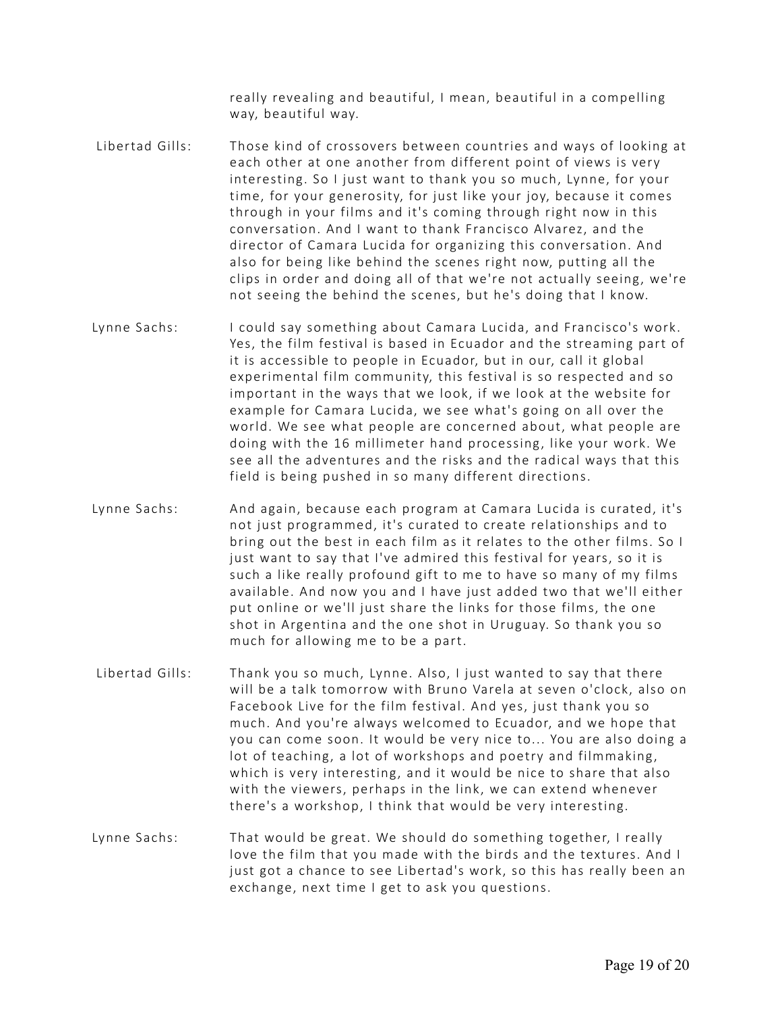really revealing and beautiful, I mean, beautiful in a compelling way, beautiful way.

- Libertad Gills: Those kind of crossovers between countries and ways of looking at each other at one another from different point of views is very interesting. So I just want to thank you so much, Lynne, for your time, for your generosity, for just like your joy, because it comes through in your films and it's coming through right now in this conversation. And I want to thank Francisco Alvarez, and the director of Camara Lucida for organizing this conversation. And also for being like behind the scenes right now, putting all the clips in order and doing all of that we're not actually seeing, we're not seeing the behind the scenes, but he's doing that I know.
- Lynne Sachs: I could say something about Camara Lucida, and Francisco's work. Yes, the film festival is based in Ecuador and the streaming part of it is accessible to people in Ecuador, but in our, call it global experimental film community, this festival is so respected and so important in the ways that we look, if we look at the website for example for Camara Lucida, we see what's going on all over the world. We see what people are concerned about, what people are doing with the 16 millimeter hand processing, like your work. We see all the adventures and the risks and the radical ways that this field is being pushed in so many different directions.
- Lynne Sachs: And again, because each program at Camara Lucida is curated, it's not just programmed, it's curated to create relationships and to bring out the best in each film as it relates to the other films. So I just want to say that I've admired this festival for years, so it is such a like really profound gift to me to have so many of my films available. And now you and I have just added two that we'll either put online or we'll just share the links for those films, the one shot in Argentina and the one shot in Uruguay. So thank you so much for allowing me to be a part.
- Libertad Gills: Thank you so much, Lynne. Also, I just wanted to say that there will be a talk tomorrow with Bruno Varela at seven o'clock, also on Facebook Live for the film festival. And yes, just thank you so much. And you're always welcomed to Ecuador, and we hope that you can come soon. It would be very nice to... You are also doing a lot of teaching, a lot of workshops and poetry and filmmaking, which is very interesting, and it would be nice to share that also with the viewers, perhaps in the link, we can extend whenever there's a workshop, I think that would be very interesting.
- Lynne Sachs: That would be great. We should do something together, I really love the film that you made with the birds and the textures. And I just got a chance to see Libertad's work, so this has really been an exchange, next time I get to ask you questions.